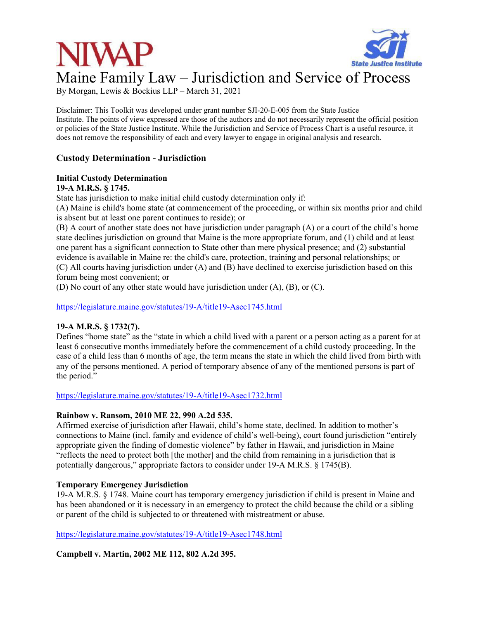

# Maine Family Law – Jurisdiction and Service of Process

By Morgan, Lewis & Bockius LLP – March 31, 2021

Disclaimer: This Toolkit was developed under grant number SJI-20-E-005 from the State Justice Institute. The points of view expressed are those of the authors and do not necessarily represent the official position or policies of the State Justice Institute. While the Jurisdiction and Service of Process Chart is a useful resource, it does not remove the responsibility of each and every lawyer to engage in original analysis and research.

# **Custody Determination - Jurisdiction**

#### **Initial Custody Determination 19-A M.R.S. § 1745.**

State has jurisdiction to make initial child custody determination only if:

(A) Maine is child's home state (at commencement of the proceeding, or within six months prior and child is absent but at least one parent continues to reside); or

(B) A court of another state does not have jurisdiction under paragraph (A) or a court of the child's home state declines jurisdiction on ground that Maine is the more appropriate forum, and (1) child and at least one parent has a significant connection to State other than mere physical presence; and (2) substantial evidence is available in Maine re: the child's care, protection, training and personal relationships; or (C) All courts having jurisdiction under (A) and (B) have declined to exercise jurisdiction based on this forum being most convenient; or

(D) No court of any other state would have jurisdiction under (A), (B), or (C).

https://legislature.maine.gov/statutes/19-A/title19-Asec1745.html

# **19-A M.R.S. § 1732(7).**

Defines "home state" as the "state in which a child lived with a parent or a person acting as a parent for at least 6 consecutive months immediately before the commencement of a child custody proceeding. In the case of a child less than 6 months of age, the term means the state in which the child lived from birth with any of the persons mentioned. A period of temporary absence of any of the mentioned persons is part of the period."

https://legislature.maine.gov/statutes/19-A/title19-Asec1732.html

# **Rainbow v. Ransom, 2010 ME 22, 990 A.2d 535.**

Affirmed exercise of jurisdiction after Hawaii, child's home state, declined. In addition to mother's connections to Maine (incl. family and evidence of child's well-being), court found jurisdiction "entirely appropriate given the finding of domestic violence" by father in Hawaii, and jurisdiction in Maine "reflects the need to protect both [the mother] and the child from remaining in a jurisdiction that is potentially dangerous," appropriate factors to consider under 19-A M.R.S. § 1745(B).

# **Temporary Emergency Jurisdiction**

19-A M.R.S. § 1748. Maine court has temporary emergency jurisdiction if child is present in Maine and has been abandoned or it is necessary in an emergency to protect the child because the child or a sibling or parent of the child is subjected to or threatened with mistreatment or abuse.

https://legislature.maine.gov/statutes/19-A/title19-Asec1748.html

**Campbell v. Martin, 2002 ME 112, 802 A.2d 395.**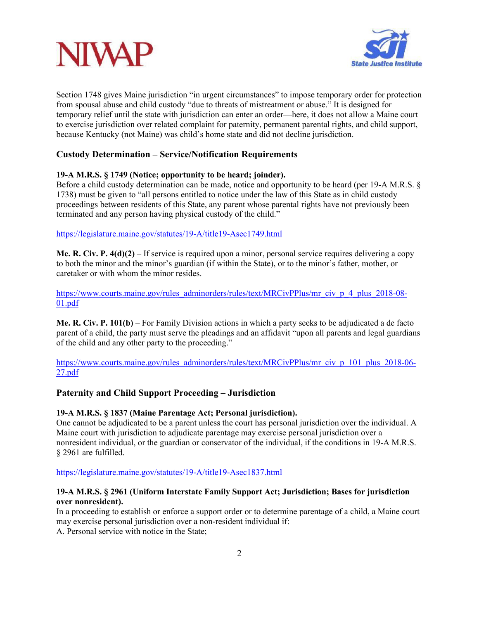



Section 1748 gives Maine jurisdiction "in urgent circumstances" to impose temporary order for protection from spousal abuse and child custody "due to threats of mistreatment or abuse." It is designed for temporary relief until the state with jurisdiction can enter an order—here, it does not allow a Maine court to exercise jurisdiction over related complaint for paternity, permanent parental rights, and child support, because Kentucky (not Maine) was child's home state and did not decline jurisdiction.

# **Custody Determination – Service/Notification Requirements**

# **19-A M.R.S. § 1749 (Notice; opportunity to be heard; joinder).**

Before a child custody determination can be made, notice and opportunity to be heard (per 19-A M.R.S. § 1738) must be given to "all persons entitled to notice under the law of this State as in child custody proceedings between residents of this State, any parent whose parental rights have not previously been terminated and any person having physical custody of the child."

https://legislature.maine.gov/statutes/19-A/title19-Asec1749.html

**Me. R. Civ. P. 4(d)(2)** – If service is required upon a minor, personal service requires delivering a copy to both the minor and the minor's guardian (if within the State), or to the minor's father, mother, or caretaker or with whom the minor resides.

https://www.courts.maine.gov/rules\_adminorders/rules/text/MRCivPPlus/mr\_civ\_p\_4\_plus\_2018-08-01.pdf

**Me. R. Civ. P. 101(b)** – For Family Division actions in which a party seeks to be adjudicated a de facto parent of a child, the party must serve the pleadings and an affidavit "upon all parents and legal guardians of the child and any other party to the proceeding."

https://www.courts.maine.gov/rules\_adminorders/rules/text/MRCivPPlus/mr\_civ\_p\_101\_plus\_2018-06-27.pdf

# **Paternity and Child Support Proceeding – Jurisdiction**

## **19-A M.R.S. § 1837 (Maine Parentage Act; Personal jurisdiction).**

One cannot be adjudicated to be a parent unless the court has personal jurisdiction over the individual. A Maine court with jurisdiction to adjudicate parentage may exercise personal jurisdiction over a nonresident individual, or the guardian or conservator of the individual, if the conditions in 19-A M.R.S. § 2961 are fulfilled.

https://legislature.maine.gov/statutes/19-A/title19-Asec1837.html

## **19-A M.R.S. § 2961 (Uniform Interstate Family Support Act; Jurisdiction; Bases for jurisdiction over nonresident).**

In a proceeding to establish or enforce a support order or to determine parentage of a child, a Maine court may exercise personal jurisdiction over a non-resident individual if:

A. Personal service with notice in the State;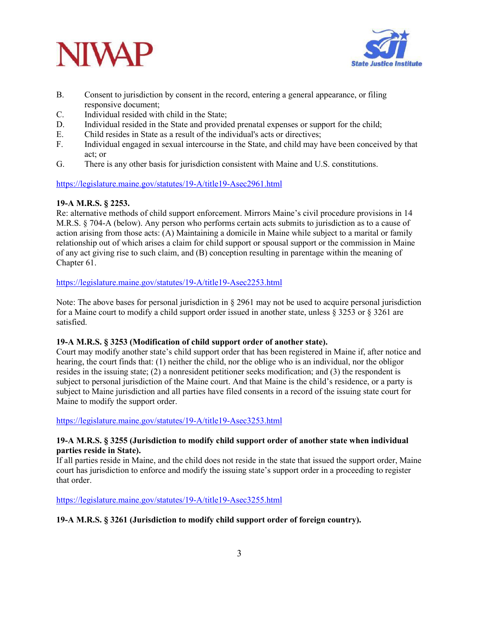



- B. Consent to jurisdiction by consent in the record, entering a general appearance, or filing responsive document;
- C. Individual resided with child in the State;
- D. Individual resided in the State and provided prenatal expenses or support for the child;
- E. Child resides in State as a result of the individual's acts or directives;
- F. Individual engaged in sexual intercourse in the State, and child may have been conceived by that act; or
- G. There is any other basis for jurisdiction consistent with Maine and U.S. constitutions.

# https://legislature.maine.gov/statutes/19-A/title19-Asec2961.html

# **19-A M.R.S. § 2253.**

Re: alternative methods of child support enforcement. Mirrors Maine's civil procedure provisions in 14 M.R.S. § 704-A (below). Any person who performs certain acts submits to jurisdiction as to a cause of action arising from those acts: (A) Maintaining a domicile in Maine while subject to a marital or family relationship out of which arises a claim for child support or spousal support or the commission in Maine of any act giving rise to such claim, and (B) conception resulting in parentage within the meaning of Chapter 61.

## https://legislature.maine.gov/statutes/19-A/title19-Asec2253.html

Note: The above bases for personal jurisdiction in  $\S 2961$  may not be used to acquire personal jurisdiction for a Maine court to modify a child support order issued in another state, unless § 3253 or § 3261 are satisfied.

## **19-A M.R.S. § 3253 (Modification of child support order of another state).**

Court may modify another state's child support order that has been registered in Maine if, after notice and hearing, the court finds that: (1) neither the child, nor the oblige who is an individual, nor the obligor resides in the issuing state; (2) a nonresident petitioner seeks modification; and (3) the respondent is subject to personal jurisdiction of the Maine court. And that Maine is the child's residence, or a party is subject to Maine jurisdiction and all parties have filed consents in a record of the issuing state court for Maine to modify the support order.

https://legislature.maine.gov/statutes/19-A/title19-Asec3253.html

# **19-A M.R.S. § 3255 (Jurisdiction to modify child support order of another state when individual parties reside in State).**

If all parties reside in Maine, and the child does not reside in the state that issued the support order, Maine court has jurisdiction to enforce and modify the issuing state's support order in a proceeding to register that order.

https://legislature.maine.gov/statutes/19-A/title19-Asec3255.html

# **19-A M.R.S. § 3261 (Jurisdiction to modify child support order of foreign country).**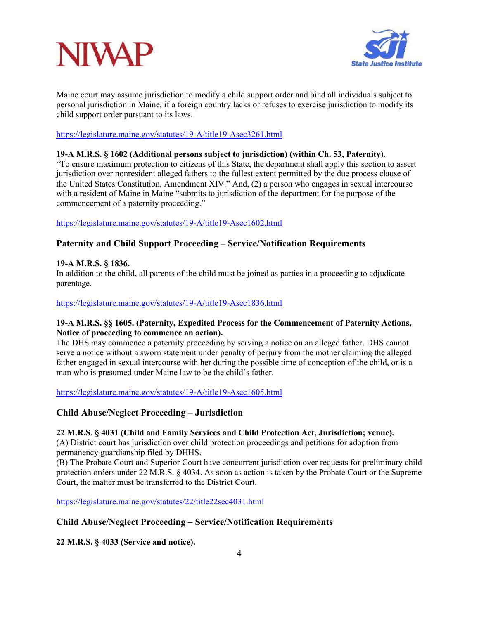



Maine court may assume jurisdiction to modify a child support order and bind all individuals subject to personal jurisdiction in Maine, if a foreign country lacks or refuses to exercise jurisdiction to modify its child support order pursuant to its laws.

#### https://legislature.maine.gov/statutes/19-A/title19-Asec3261.html

#### **19-A M.R.S. § 1602 (Additional persons subject to jurisdiction) (within Ch. 53, Paternity).**

"To ensure maximum protection to citizens of this State, the department shall apply this section to assert jurisdiction over nonresident alleged fathers to the fullest extent permitted by the due process clause of the United States Constitution, Amendment XIV." And, (2) a person who engages in sexual intercourse with a resident of Maine in Maine "submits to jurisdiction of the department for the purpose of the commencement of a paternity proceeding."

## https://legislature.maine.gov/statutes/19-A/title19-Asec1602.html

# **Paternity and Child Support Proceeding – Service/Notification Requirements**

## **19-A M.R.S. § 1836.**

In addition to the child, all parents of the child must be joined as parties in a proceeding to adjudicate parentage.

#### https://legislature.maine.gov/statutes/19-A/title19-Asec1836.html

## **19-A M.R.S. §§ 1605. (Paternity, Expedited Process for the Commencement of Paternity Actions, Notice of proceeding to commence an action).**

The DHS may commence a paternity proceeding by serving a notice on an alleged father. DHS cannot serve a notice without a sworn statement under penalty of perjury from the mother claiming the alleged father engaged in sexual intercourse with her during the possible time of conception of the child, or is a man who is presumed under Maine law to be the child's father.

https://legislature.maine.gov/statutes/19-A/title19-Asec1605.html

# **Child Abuse/Neglect Proceeding – Jurisdiction**

#### **22 M.R.S. § 4031 (Child and Family Services and Child Protection Act, Jurisdiction; venue).**

(A) District court has jurisdiction over child protection proceedings and petitions for adoption from permanency guardianship filed by DHHS.

(B) The Probate Court and Superior Court have concurrent jurisdiction over requests for preliminary child protection orders under 22 M.R.S. § 4034. As soon as action is taken by the Probate Court or the Supreme Court, the matter must be transferred to the District Court.

https://legislature.maine.gov/statutes/22/title22sec4031.html

## **Child Abuse/Neglect Proceeding – Service/Notification Requirements**

**22 M.R.S. § 4033 (Service and notice).**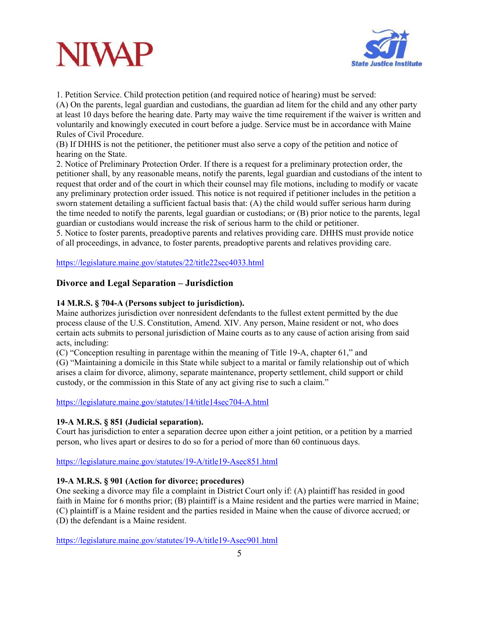



1. Petition Service. Child protection petition (and required notice of hearing) must be served: (A) On the parents, legal guardian and custodians, the guardian ad litem for the child and any other party at least 10 days before the hearing date. Party may waive the time requirement if the waiver is written and voluntarily and knowingly executed in court before a judge. Service must be in accordance with Maine Rules of Civil Procedure.

(B) If DHHS is not the petitioner, the petitioner must also serve a copy of the petition and notice of hearing on the State.

2. Notice of Preliminary Protection Order. If there is a request for a preliminary protection order, the petitioner shall, by any reasonable means, notify the parents, legal guardian and custodians of the intent to request that order and of the court in which their counsel may file motions, including to modify or vacate any preliminary protection order issued. This notice is not required if petitioner includes in the petition a sworn statement detailing a sufficient factual basis that: (A) the child would suffer serious harm during the time needed to notify the parents, legal guardian or custodians; or (B) prior notice to the parents, legal guardian or custodians would increase the risk of serious harm to the child or petitioner.

5. Notice to foster parents, preadoptive parents and relatives providing care. DHHS must provide notice of all proceedings, in advance, to foster parents, preadoptive parents and relatives providing care.

https://legislature.maine.gov/statutes/22/title22sec4033.html

# **Divorce and Legal Separation – Jurisdiction**

# **14 M.R.S. § 704-A (Persons subject to jurisdiction).**

Maine authorizes jurisdiction over nonresident defendants to the fullest extent permitted by the due process clause of the U.S. Constitution, Amend. XIV. Any person, Maine resident or not, who does certain acts submits to personal jurisdiction of Maine courts as to any cause of action arising from said acts, including:

(C) "Conception resulting in parentage within the meaning of Title 19-A, chapter 61," and

(G) "Maintaining a domicile in this State while subject to a marital or family relationship out of which arises a claim for divorce, alimony, separate maintenance, property settlement, child support or child custody, or the commission in this State of any act giving rise to such a claim."

https://legislature.maine.gov/statutes/14/title14sec704-A.html

## **19-A M.R.S. § 851 (Judicial separation).**

Court has jurisdiction to enter a separation decree upon either a joint petition, or a petition by a married person, who lives apart or desires to do so for a period of more than 60 continuous days.

https://legislature.maine.gov/statutes/19-A/title19-Asec851.html

## **19-A M.R.S. § 901 (Action for divorce; procedures)**

One seeking a divorce may file a complaint in District Court only if: (A) plaintiff has resided in good faith in Maine for 6 months prior; (B) plaintiff is a Maine resident and the parties were married in Maine; (C) plaintiff is a Maine resident and the parties resided in Maine when the cause of divorce accrued; or (D) the defendant is a Maine resident.

https://legislature.maine.gov/statutes/19-A/title19-Asec901.html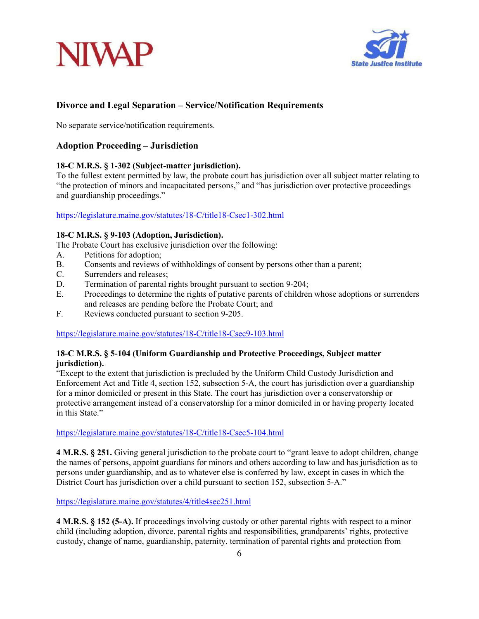



# **Divorce and Legal Separation – Service/Notification Requirements**

No separate service/notification requirements.

# **Adoption Proceeding – Jurisdiction**

#### **18-C M.R.S. § 1-302 (Subject-matter jurisdiction).**

To the fullest extent permitted by law, the probate court has jurisdiction over all subject matter relating to "the protection of minors and incapacitated persons," and "has jurisdiction over protective proceedings and guardianship proceedings."

#### https://legislature.maine.gov/statutes/18-C/title18-Csec1-302.html

#### **18-C M.R.S. § 9-103 (Adoption, Jurisdiction).**

The Probate Court has exclusive jurisdiction over the following:

- A. Petitions for adoption;
- B. Consents and reviews of withholdings of consent by persons other than a parent;
- C. Surrenders and releases;
- D. Termination of parental rights brought pursuant to section 9-204;
- E. Proceedings to determine the rights of putative parents of children whose adoptions or surrenders and releases are pending before the Probate Court; and
- F. Reviews conducted pursuant to section 9-205.

https://legislature.maine.gov/statutes/18-C/title18-Csec9-103.html

## **18-C M.R.S. § 5-104 (Uniform Guardianship and Protective Proceedings, Subject matter jurisdiction).**

"Except to the extent that jurisdiction is precluded by the Uniform Child Custody Jurisdiction and Enforcement Act and Title 4, section 152, subsection 5-A, the court has jurisdiction over a guardianship for a minor domiciled or present in this State. The court has jurisdiction over a conservatorship or protective arrangement instead of a conservatorship for a minor domiciled in or having property located in this State."

https://legislature.maine.gov/statutes/18-C/title18-Csec5-104.html

**4 M.R.S. § 251.** Giving general jurisdiction to the probate court to "grant leave to adopt children, change the names of persons, appoint guardians for minors and others according to law and has jurisdiction as to persons under guardianship, and as to whatever else is conferred by law, except in cases in which the District Court has jurisdiction over a child pursuant to section 152, subsection 5-A."

https://legislature.maine.gov/statutes/4/title4sec251.html

**4 M.R.S. § 152 (5-A).** If proceedings involving custody or other parental rights with respect to a minor child (including adoption, divorce, parental rights and responsibilities, grandparents' rights, protective custody, change of name, guardianship, paternity, termination of parental rights and protection from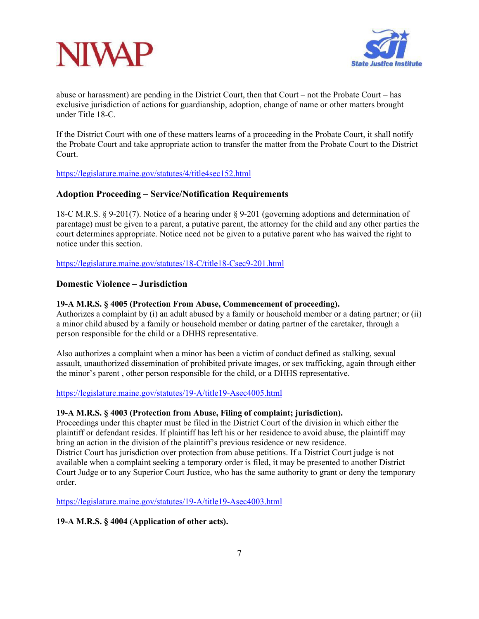



abuse or harassment) are pending in the District Court, then that Court – not the Probate Court – has exclusive jurisdiction of actions for guardianship, adoption, change of name or other matters brought under Title 18-C.

If the District Court with one of these matters learns of a proceeding in the Probate Court, it shall notify the Probate Court and take appropriate action to transfer the matter from the Probate Court to the District Court.

https://legislature.maine.gov/statutes/4/title4sec152.html

# **Adoption Proceeding – Service/Notification Requirements**

18-C M.R.S. § 9-201(7). Notice of a hearing under § 9-201 (governing adoptions and determination of parentage) must be given to a parent, a putative parent, the attorney for the child and any other parties the court determines appropriate. Notice need not be given to a putative parent who has waived the right to notice under this section.

https://legislature.maine.gov/statutes/18-C/title18-Csec9-201.html

# **Domestic Violence – Jurisdiction**

#### **19-A M.R.S. § 4005 (Protection From Abuse, Commencement of proceeding).**

Authorizes a complaint by (i) an adult abused by a family or household member or a dating partner; or (ii) a minor child abused by a family or household member or dating partner of the caretaker, through a person responsible for the child or a DHHS representative.

Also authorizes a complaint when a minor has been a victim of conduct defined as stalking, sexual assault, unauthorized dissemination of prohibited private images, or sex trafficking, again through either the minor's parent , other person responsible for the child, or a DHHS representative.

https://legislature.maine.gov/statutes/19-A/title19-Asec4005.html

#### **19-A M.R.S. § 4003 (Protection from Abuse, Filing of complaint; jurisdiction).**

Proceedings under this chapter must be filed in the District Court of the division in which either the plaintiff or defendant resides. If plaintiff has left his or her residence to avoid abuse, the plaintiff may bring an action in the division of the plaintiff's previous residence or new residence. District Court has jurisdiction over protection from abuse petitions. If a District Court judge is not available when a complaint seeking a temporary order is filed, it may be presented to another District Court Judge or to any Superior Court Justice, who has the same authority to grant or deny the temporary order.

https://legislature.maine.gov/statutes/19-A/title19-Asec4003.html

## **19-A M.R.S. § 4004 (Application of other acts).**